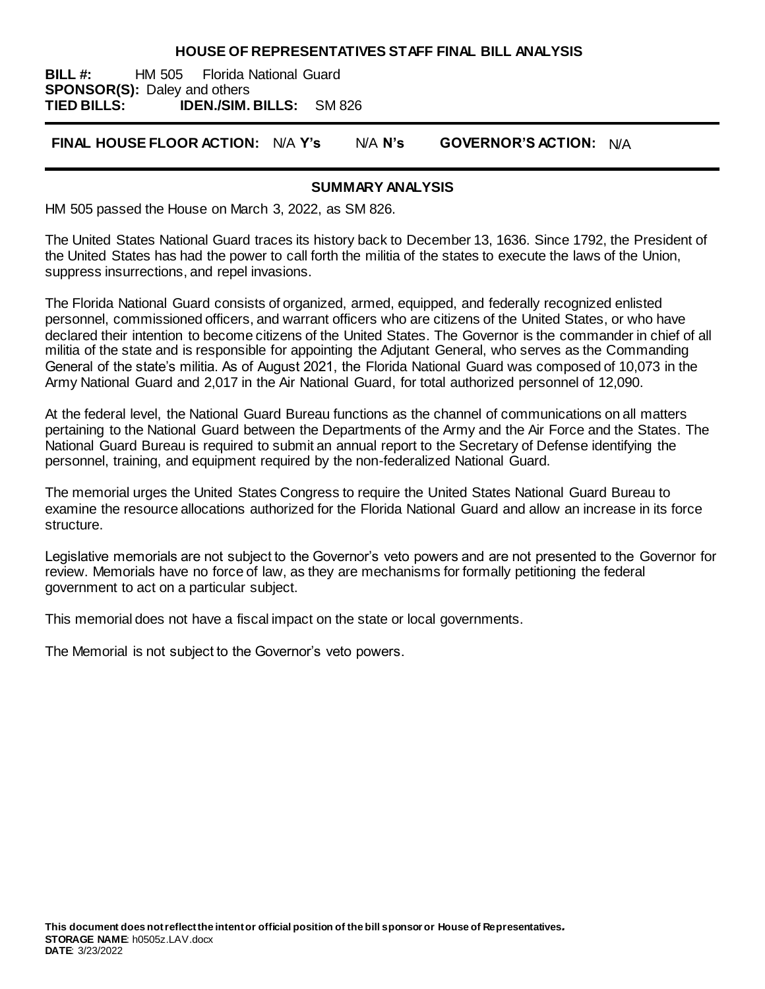#### **HOUSE OF REPRESENTATIVES STAFF FINAL BILL ANALYSIS**

**BILL #:** HM 505 Florida National Guard **SPONSOR(S):** Daley and others **TIED BILLS: IDEN./SIM. BILLS:** SM 826

**FINAL HOUSE FLOOR ACTION:** N/A **Y's** N/A **N's GOVERNOR'S ACTION:** N/A

## **SUMMARY ANALYSIS**

HM 505 passed the House on March 3, 2022, as SM 826.

The United States National Guard traces its history back to December 13, 1636. Since 1792, the President of the United States has had the power to call forth the militia of the states to execute the laws of the Union, suppress insurrections, and repel invasions.

The Florida National Guard consists of organized, armed, equipped, and federally recognized enlisted personnel, commissioned officers, and warrant officers who are citizens of the United States, or who have declared their intention to become citizens of the United States. The Governor is the commander in chief of all militia of the state and is responsible for appointing the Adjutant General, who serves as the Commanding General of the state's militia. As of August 2021, the Florida National Guard was composed of 10,073 in the Army National Guard and 2,017 in the Air National Guard, for total authorized personnel of 12,090.

At the federal level, the National Guard Bureau functions as the channel of communications on all matters pertaining to the National Guard between the Departments of the Army and the Air Force and the States. The National Guard Bureau is required to submit an annual report to the Secretary of Defense identifying the personnel, training, and equipment required by the non-federalized National Guard.

The memorial urges the United States Congress to require the United States National Guard Bureau to examine the resource allocations authorized for the Florida National Guard and allow an increase in its force structure.

Legislative memorials are not subject to the Governor's veto powers and are not presented to the Governor for review. Memorials have no force of law, as they are mechanisms for formally petitioning the federal government to act on a particular subject.

This memorial does not have a fiscal impact on the state or local governments.

The Memorial is not subject to the Governor's veto powers.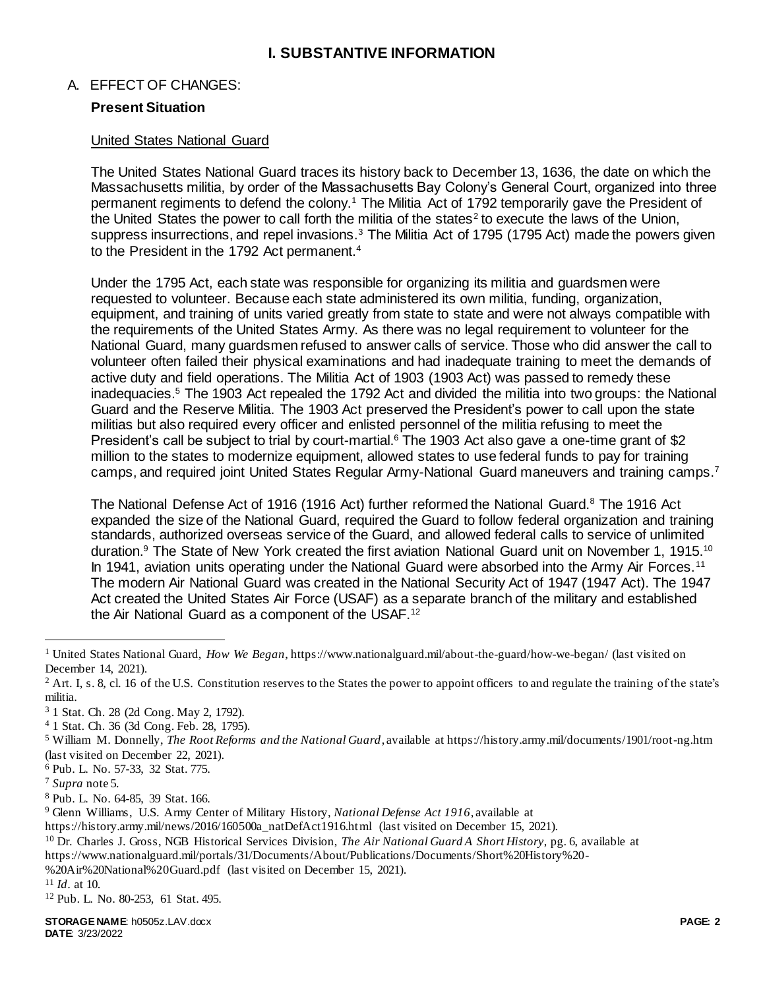## **I. SUBSTANTIVE INFORMATION**

## A. EFFECT OF CHANGES:

## **Present Situation**

#### United States National Guard

The United States National Guard traces its history back to December 13, 1636, the date on which the Massachusetts militia, by order of the Massachusetts Bay Colony's General Court, organized into three permanent regiments to defend the colony.<sup>1</sup> The Militia Act of 1792 temporarily gave the President of the United States the power to call forth the militia of the states<sup>2</sup> to execute the laws of the Union, suppress insurrections, and repel invasions.<sup>3</sup> The Militia Act of 1795 (1795 Act) made the powers given to the President in the 1792 Act permanent.<sup>4</sup>

Under the 1795 Act, each state was responsible for organizing its militia and guardsmen were requested to volunteer. Because each state administered its own militia, funding, organization, equipment, and training of units varied greatly from state to state and were not always compatible with the requirements of the United States Army. As there was no legal requirement to volunteer for the National Guard, many guardsmen refused to answer calls of service. Those who did answer the call to volunteer often failed their physical examinations and had inadequate training to meet the demands of active duty and field operations. The Militia Act of 1903 (1903 Act) was passed to remedy these inadequacies.<sup>5</sup> The 1903 Act repealed the 1792 Act and divided the militia into two groups: the National Guard and the Reserve Militia. The 1903 Act preserved the President's power to call upon the state militias but also required every officer and enlisted personnel of the militia refusing to meet the President's call be subject to trial by court-martial.<sup>6</sup> The 1903 Act also gave a one-time grant of \$2 million to the states to modernize equipment, allowed states to use federal funds to pay for training camps, and required joint United States Regular Army-National Guard maneuvers and training camps.<sup>7</sup>

The National Defense Act of 1916 (1916 Act) further reformed the National Guard.<sup>8</sup> The 1916 Act expanded the size of the National Guard, required the Guard to follow federal organization and training standards, authorized overseas service of the Guard, and allowed federal calls to service of unlimited duration.<sup>9</sup> The State of New York created the first aviation National Guard unit on November 1, 1915.<sup>10</sup> In 1941, aviation units operating under the National Guard were absorbed into the Army Air Forces.<sup>11</sup> The modern Air National Guard was created in the National Security Act of 1947 (1947 Act). The 1947 Act created the United States Air Force (USAF) as a separate branch of the military and established the Air National Guard as a component of the USAF.<sup>12</sup>

 $2$  Art. I, s. 8, cl. 16 of the U.S. Constitution reserves to the States the power to appoint officers to and regulate the training of the state's militia.

- <sup>6</sup> Pub. L. No. 57-33, 32 Stat. 775.
- <sup>7</sup> *Supra* note 5.

j

- <sup>10</sup> Dr. Charles J. Gross, NGB Historical Services Division, *The Air National Guard A Short History*, pg. 6, available at
- https://www.nationalguard.mil/portals/31/Documents/About/Publications/Documents/Short%20History%20-
- %20Air%20National%20Guard.pdf (last visited on December 15, 2021).
- <sup>11</sup> *Id*. at 10.
- <sup>12</sup> Pub. L. No. 80-253, 61 Stat. 495.

<sup>1</sup> United States National Guard, *How We Began*, https://www.nationalguard.mil/about-the-guard/how-we-began/ (last visited on December 14, 2021).

<sup>3</sup> 1 Stat. Ch. 28 (2d Cong. May 2, 1792).

<sup>4</sup> 1 Stat. Ch. 36 (3d Cong. Feb. 28, 1795).

<sup>5</sup> William M. Donnelly, *The Root Reforms and the National Guard*, available at https://history.army.mil/documents/1901/root-ng.htm (last visited on December 22, 2021).

<sup>8</sup> Pub. L. No. 64-85, 39 Stat. 166.

<sup>9</sup> Glenn Williams, U.S. Army Center of Military History, *National Defense Act 1916*, available at

https://history.army.mil/news/2016/160500a\_natDefAct1916.html (last visited on December 15, 2021).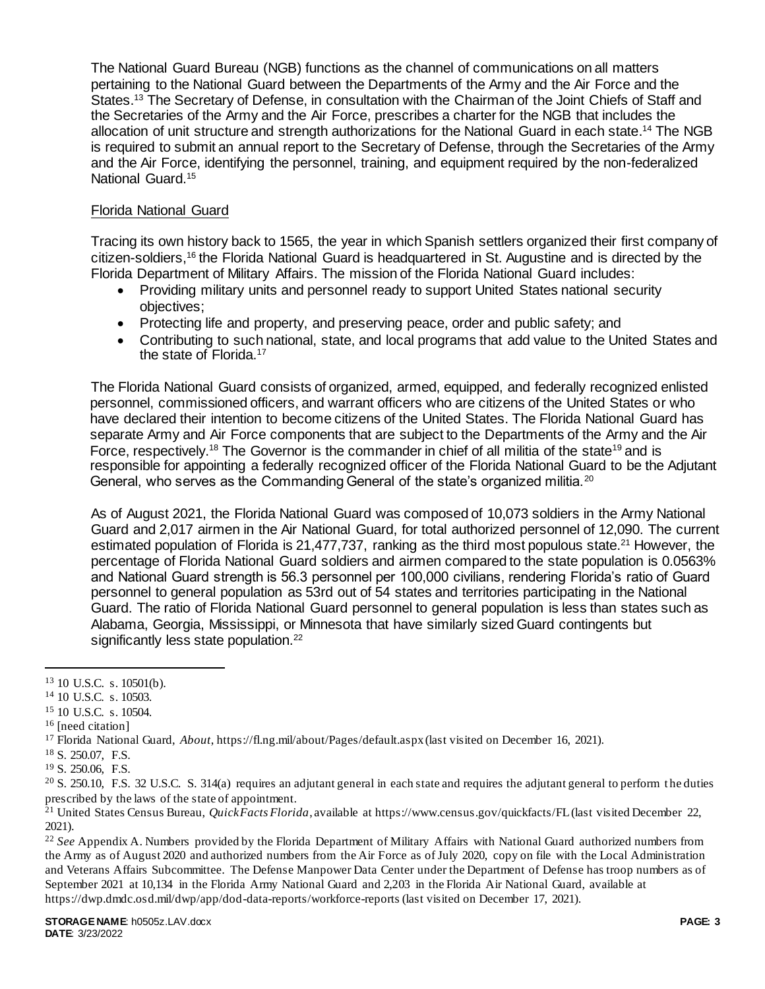The National Guard Bureau (NGB) functions as the channel of communications on all matters pertaining to the National Guard between the Departments of the Army and the Air Force and the States.<sup>13</sup> The Secretary of Defense, in consultation with the Chairman of the Joint Chiefs of Staff and the Secretaries of the Army and the Air Force, prescribes a charter for the NGB that includes the allocation of unit structure and strength authorizations for the National Guard in each state. <sup>14</sup> The NGB is required to submit an annual report to the Secretary of Defense, through the Secretaries of the Army and the Air Force, identifying the personnel, training, and equipment required by the non-federalized National Guard.<sup>15</sup>

## Florida National Guard

Tracing its own history back to 1565, the year in which Spanish settlers organized their first company of citizen-soldiers,<sup>16</sup> the Florida National Guard is headquartered in St. Augustine and is directed by the Florida Department of Military Affairs. The mission of the Florida National Guard includes:

- Providing military units and personnel ready to support United States national security objectives;
- Protecting life and property, and preserving peace, order and public safety; and
- Contributing to such national, state, and local programs that add value to the United States and the state of Florida.<sup>17</sup>

The Florida National Guard consists of organized, armed, equipped, and federally recognized enlisted personnel, commissioned officers, and warrant officers who are citizens of the United States or who have declared their intention to become citizens of the United States. The Florida National Guard has separate Army and Air Force components that are subject to the Departments of the Army and the Air Force, respectively.<sup>18</sup> The Governor is the commander in chief of all militia of the state<sup>19</sup> and is responsible for appointing a federally recognized officer of the Florida National Guard to be the Adjutant General, who serves as the Commanding General of the state's organized militia.<sup>20</sup>

As of August 2021, the Florida National Guard was composed of 10,073 soldiers in the Army National Guard and 2,017 airmen in the Air National Guard, for total authorized personnel of 12,090. The current estimated population of Florida is 21,477,737, ranking as the third most populous state.<sup>21</sup> However, the percentage of Florida National Guard soldiers and airmen compared to the state population is 0.0563% and National Guard strength is 56.3 personnel per 100,000 civilians, rendering Florida's ratio of Guard personnel to general population as 53rd out of 54 states and territories participating in the National Guard. The ratio of Florida National Guard personnel to general population is less than states such as Alabama, Georgia, Mississippi, or Minnesota that have similarly sized Guard contingents but significantly less state population.<sup>22</sup>

 $\overline{a}$ 

<sup>13</sup> 10 U.S.C. s. 10501(b).

<sup>14</sup> 10 U.S.C. s. 10503.

<sup>15</sup> 10 U.S.C. s. 10504.

<sup>&</sup>lt;sup>16</sup> [need citation]

<sup>17</sup> Florida National Guard, *About*, https://fl.ng.mil/about/Pages/default.aspx (last visited on December 16, 2021).

<sup>18</sup> S. 250.07, F.S.

<sup>19</sup> S. 250.06, F.S.

<sup>&</sup>lt;sup>20</sup> S. 250.10, F.S. 32 U.S.C. S. 314(a) requires an adjutant general in each state and requires the adjutant general to perform the duties prescribed by the laws of the state of appointment.

<sup>21</sup> United States Census Bureau, *QuickFacts Florida*, available at https://www.census.gov/quickfacts/FL(last visited December 22, 2021).

<sup>&</sup>lt;sup>22</sup> See Appendix A. Numbers provided by the Florida Department of Military Affairs with National Guard authorized numbers from the Army as of August 2020 and authorized numbers from the Air Force as of July 2020, copy on file with the Local Administration and Veterans Affairs Subcommittee. The Defense Manpower Data Center under the Department of Defense has troop numbers as of September 2021 at 10,134 in the Florida Army National Guard and 2,203 in the Florida Air National Guard, available at https://dwp.dmdc.osd.mil/dwp/app/dod-data-reports/workforce-reports (last visited on December 17, 2021).